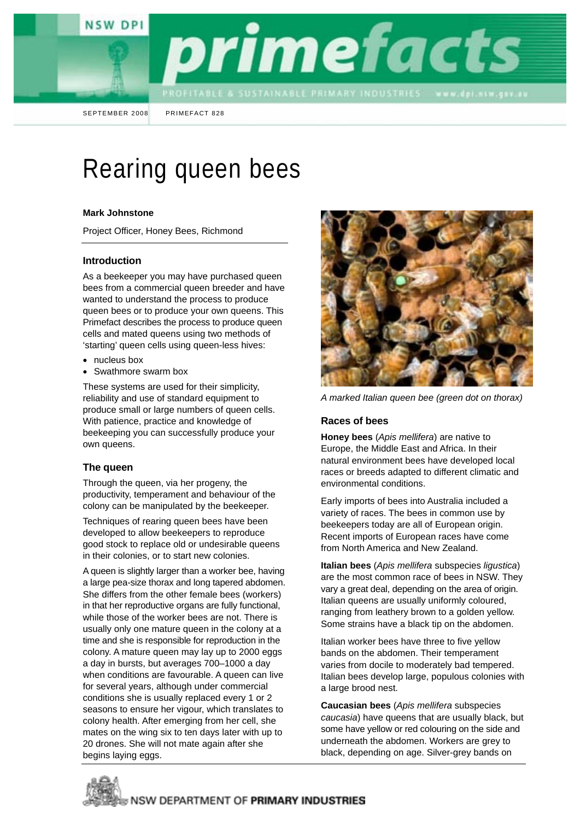



SEPTEMBER 2008 PRIMEFACT 828

# Rearing queen bees

#### **Mark Johnstone**

Project Officer, Honey Bees, Richmond

### **Introduction**

As a beekeeper you may have purchased queen bees from a commercial queen breeder and have wanted to understand the process to produce queen bees or to produce your own queens. This Primefact describes the process to produce queen cells and mated queens using two methods of 'starting' queen cells using queen-less hives:

- nucleus box
- Swathmore swarm box

These systems are used for their simplicity, reliability and use of standard equipment to produce small or large numbers of queen cells. With patience, practice and knowledge of beekeeping you can successfully produce your own queens.

# **The queen**

Through the queen, via her progeny, the productivity, temperament and behaviour of the colony can be manipulated by the beekeeper.

Techniques of rearing queen bees have been developed to allow beekeepers to reproduce good stock to replace old or undesirable queens in their colonies, or to start new colonies.

A queen is slightly larger than a worker bee, having a large pea-size thorax and long tapered abdomen. She differs from the other female bees (workers) in that her reproductive organs are fully functional, while those of the worker bees are not. There is usually only one mature queen in the colony at a time and she is responsible for reproduction in the colony. A mature queen may lay up to 2000 eggs a day in bursts, but averages 700–1000 a day when conditions are favourable. A queen can live for several years, although under commercial conditions she is usually replaced every 1 or 2 seasons to ensure her vigour, which translates to colony health. After emerging from her cell, she mates on the wing six to ten days later with up to 20 drones. She will not mate again after she begins laying eggs.



*A marked Italian queen bee (green dot on thorax)* 

#### **Races of bees**

**Honey bees** (*Apis mellifera*) are native to Europe, the Middle East and Africa. In their natural environment bees have developed local races or breeds adapted to different climatic and environmental conditions.

Early imports of bees into Australia included a variety of races. The bees in common use by beekeepers today are all of European origin. Recent imports of European races have come from North America and New Zealand.

**Italian bees** (*Apis mellifera* subspecies *ligustica*) are the most common race of bees in NSW. They vary a great deal, depending on the area of origin. Italian queens are usually uniformly coloured, ranging from leathery brown to a golden yellow. Some strains have a black tip on the abdomen.

Italian worker bees have three to five yellow bands on the abdomen. Their temperament varies from docile to moderately bad tempered. Italian bees develop large, populous colonies with a large brood nest.

**Caucasian bees** (*Apis mellifera* subspecies *caucasia*) have queens that are usually black, but some have yellow or red colouring on the side and underneath the abdomen. Workers are grey to black, depending on age. Silver-grey bands on

NSW DEPARTMENT OF PRIMARY INDUSTRIES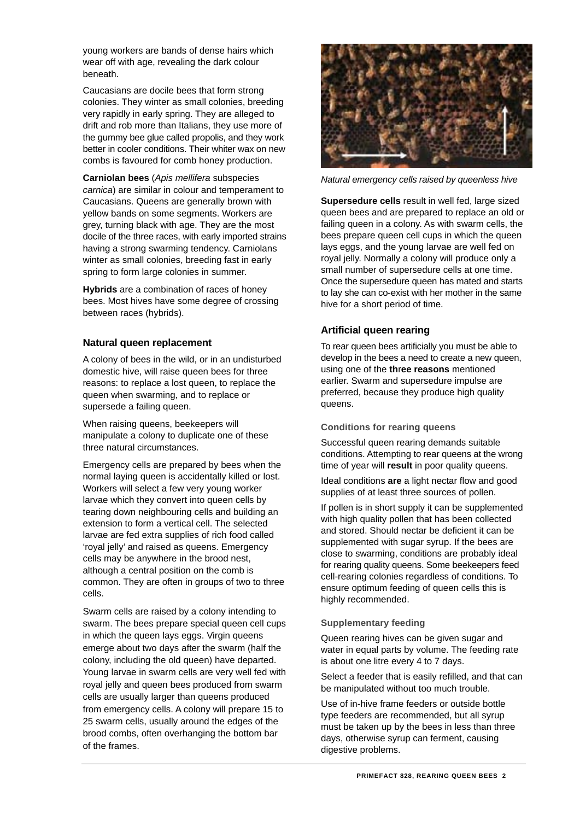young workers are bands of dense hairs which wear off with age, revealing the dark colour beneath.

Caucasians are docile bees that form strong colonies. They winter as small colonies, breeding very rapidly in early spring. They are alleged to drift and rob more than Italians, they use more of the gummy bee glue called propolis, and they work better in cooler conditions. Their whiter wax on new combs is favoured for comb honey production.

**Carniolan bees** (*Apis mellifera* subspecies *carnica*) are similar in colour and temperament to Caucasians. Queens are generally brown with yellow bands on some segments. Workers are grey, turning black with age. They are the most docile of the three races, with early imported strains having a strong swarming tendency. Carniolans winter as small colonies, breeding fast in early spring to form large colonies in summer.

**Hybrids** are a combination of races of honey bees. Most hives have some degree of crossing between races (hybrids).

# **Natural queen replacement**

A colony of bees in the wild, or in an undisturbed domestic hive, will raise queen bees for three reasons: to replace a lost queen, to replace the queen when swarming, and to replace or supersede a failing queen.

When raising queens, beekeepers will manipulate a colony to duplicate one of these three natural circumstances.

Emergency cells are prepared by bees when the normal laying queen is accidentally killed or lost. Workers will select a few very young worker larvae which they convert into queen cells by tearing down neighbouring cells and building an extension to form a vertical cell. The selected larvae are fed extra supplies of rich food called 'royal jelly' and raised as queens. Emergency cells may be anywhere in the brood nest, although a central position on the comb is common. They are often in groups of two to three cells.

Swarm cells are raised by a colony intending to swarm. The bees prepare special queen cell cups in which the queen lays eggs. Virgin queens emerge about two days after the swarm (half the colony, including the old queen) have departed. Young larvae in swarm cells are very well fed with royal jelly and queen bees produced from swarm cells are usually larger than queens produced from emergency cells. A colony will prepare 15 to 25 swarm cells, usually around the edges of the brood combs, often overhanging the bottom bar of the frames.



*Natural emergency cells raised by queenless hive* 

**Supersedure cells** result in well fed, large sized queen bees and are prepared to replace an old or failing queen in a colony. As with swarm cells, the bees prepare queen cell cups in which the queen lays eggs, and the young larvae are well fed on royal jelly. Normally a colony will produce only a small number of supersedure cells at one time. Once the supersedure queen has mated and starts to lay she can co-exist with her mother in the same hive for a short period of time.

# **Artificial queen rearing**

To rear queen bees artificially you must be able to develop in the bees a need to create a new queen. using one of the **th**r**ee reasons** mentioned earlier. Swarm and supersedure impulse are preferred, because they produce high quality queens.

#### **Conditions for rearing queens**

Successful queen rearing demands suitable conditions. Attempting to rear queens at the wrong time of year will **result** in poor quality queens.

Ideal conditions **are** a light nectar flow and good supplies of at least three sources of pollen.

If pollen is in short supply it can be supplemented with high quality pollen that has been collected and stored. Should nectar be deficient it can be supplemented with sugar syrup. If the bees are close to swarming, conditions are probably ideal for rearing quality queens. Some beekeepers feed cell-rearing colonies regardless of conditions. To ensure optimum feeding of queen cells this is highly recommended.

# **Supplementary feeding**

Queen rearing hives can be given sugar and water in equal parts by volume. The feeding rate is about one litre every 4 to 7 days.

Select a feeder that is easily refilled, and that can be manipulated without too much trouble.

Use of in-hive frame feeders or outside bottle type feeders are recommended, but all syrup must be taken up by the bees in less than three days, otherwise syrup can ferment, causing digestive problems.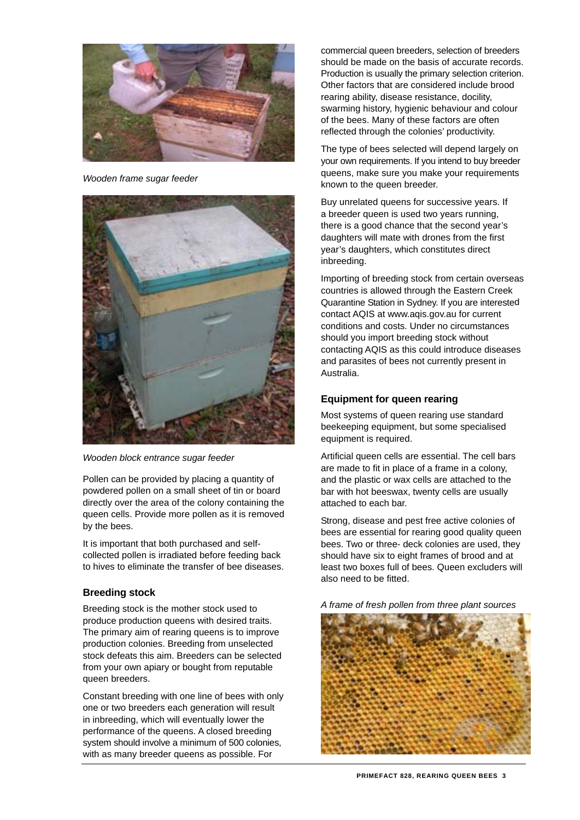

*Wooden frame sugar feeder* 



*Wooden block entrance sugar feeder* 

Pollen can be provided by placing a quantity of powdered pollen on a small sheet of tin or board directly over the area of the colony containing the queen cells. Provide more pollen as it is removed by the bees.

It is important that both purchased and selfcollected pollen is irradiated before feeding back to hives to eliminate the transfer of bee diseases.

# **Breeding stock**

Breeding stock is the mother stock used to produce production queens with desired traits. The primary aim of rearing queens is to improve production colonies. Breeding from unselected stock defeats this aim. Breeders can be selected from your own apiary or bought from reputable queen breeders.

Constant breeding with one line of bees with only one or two breeders each generation will result in inbreeding, which will eventually lower the performance of the queens. A closed breeding system should involve a minimum of 500 colonies, with as many breeder queens as possible. For

should be made on the basis of accurate records. Production is usually the primary selection criterion. swarming history, hygienic behaviour and colour commercial queen breeders, selection of breeders Other factors that are considered include brood rearing ability, disease resistance, docility, of the bees. Many of these factors are often reflected through the colonies' productivity.

The type of bees selected will depend largely on your own requirements. If you intend to buy breeder queens, make sure you make your requirements known to the queen breeder.

Buy unrelated queens for successive years. If a breeder queen is used two years running, there is a good chance that the second year's daughters will mate with drones from the first year's daughters, which constitutes direct inbreeding.

Importing of breeding stock from certain overseas Quarantine Station in Sydney. If you are interested should you import breeding stock without countries is allowed through the Eastern Creek contact AQIS at www.aqis.gov.au for current conditions and costs. Under no circumstances contacting AQIS as this could introduce diseases and parasites of bees not currently present in Australia.

# **Equipment for queen rearing**

Most systems of queen rearing use standard beekeeping equipment, but some specialised equipment is required.

Artificial queen cells are essential. The cell bars are made to fit in place of a frame in a colony, and the plastic or wax cells are attached to the bar with hot beeswax, twenty cells are usually attached to each bar.

bees. Two or three- deck colonies are used, they least two boxes full of bees. Queen excluders will Strong, disease and pest free active colonies of bees are essential for rearing good quality queen should have six to eight frames of brood and at also need to be fitted.

*A frame of fresh pollen from three plant sources* 

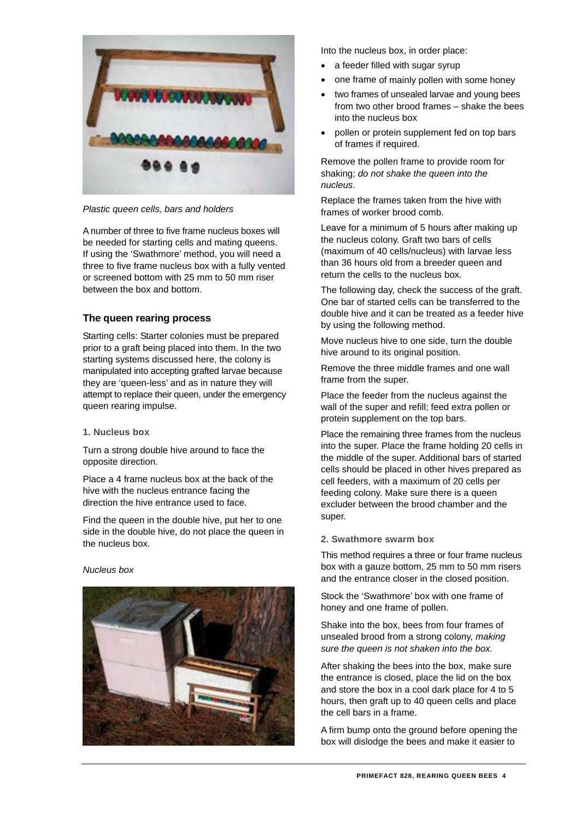

*Plastic queen cells, bars and holders* 

A number of three to five frame nucleus boxes will be needed for starting cells and mating queens. If using the 'Swathmore' method, you will need a three to five frame nucleus box with a fully vented or screened bottom with 25 mm to 50 mm riser between the box and bottom.

# **The queen rearing process**

Starting cells: Starter colonies must be prepared prior to a graft being placed into them. In the two starting systems discussed here, the colony is manipulated into accepting grafted larvae because they are 'queen-less' and as in nature they will attempt to replace their queen, under the emergency queen rearing impulse.

#### **1. Nucleus box**

Turn a strong double hive around to face the opposite direction.

Place a 4 frame nucleus box at the back of the hive with the nucleus entrance facing the direction the hive entrance used to face.

Find the queen in the double hive, put her to one side in the double hive, do not place the queen in the nucleus box.

#### *Nucleus box*



Into the nucleus box, in order place:

- a feeder filled with sugar syrup
- one frame of mainly pollen with some honey
- two frames of unsealed larvae and young bees from two other brood frames – shake the bees into the nucleus box
- pollen or protein supplement fed on top bars of frames if required.

Remove the pollen frame to provide room for shaking; *do not shake the queen into the nucleus*.

Replace the frames taken from the hive with frames of worker brood comb.

Leave for a minimum of 5 hours after making up the nucleus colony. Graft two bars of cells (maximum of 40 cells/nucleus) with larvae less than 36 hours old from a breeder queen and return the cells to the nucleus box.

The following day, check the success of the graft. One bar of started cells can be transferred to the double hive and it can be treated as a feeder hive by using the following method.

Move nucleus hive to one side, turn the double hive around to its original position.

Remove the three middle frames and one wall frame from the super.

Place the feeder from the nucleus against the wall of the super and refill; feed extra pollen or protein supplement on the top bars.

Place the remaining three frames from the nucleus into the super. Place the frame holding 20 cells in the middle of the super. Additional bars of started cells should be placed in other hives prepared as cell feeders, with a maximum of 20 cells per feeding colony. Make sure there is a queen excluder between the brood chamber and the super.

#### **2. Swathmore swarm box**

This method requires a three or four frame nucleus box with a gauze bottom, 25 mm to 50 mm risers and the entrance closer in the closed position.

Stock the 'Swathmore' box with one frame of honey and one frame of pollen.

Shake into the box, bees from four frames of unsealed brood from a strong colony, *making sure the queen is not shaken into the box.*

After shaking the bees into the box, make sure the entrance is closed, place the lid on the box and store the box in a cool dark place for 4 to 5 hours, then graft up to 40 queen cells and place the cell bars in a frame.

A firm bump onto the ground before opening the box will dislodge the bees and make it easier to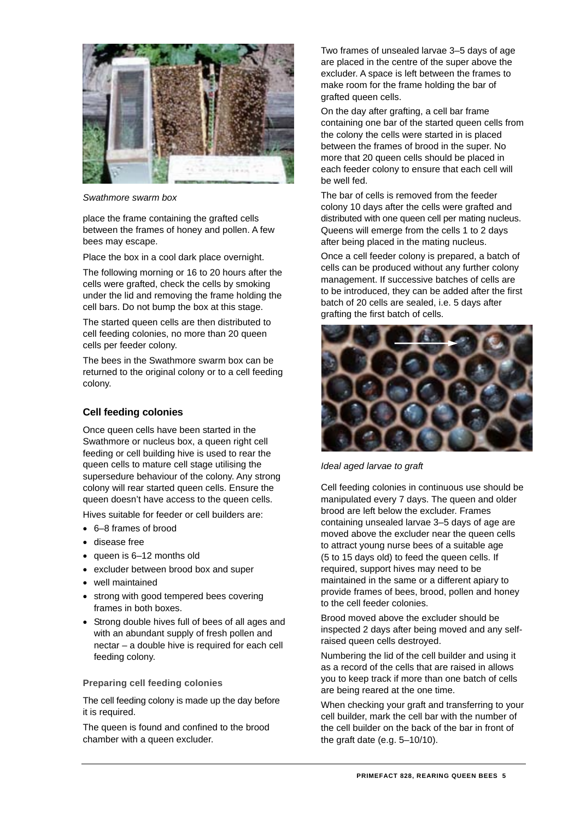

*Swathmore swarm box* 

place the frame containing the grafted cells between the frames of honey and pollen. A few bees may escape.

Place the box in a cool dark place overnight.

The following morning or 16 to 20 hours after the cells were grafted, check the cells by smoking under the lid and removing the frame holding the cell bars. Do not bump the box at this stage.

The started queen cells are then distributed to cell feeding colonies, no more than 20 queen cells per feeder colony.

The bees in the Swathmore swarm box can be returned to the original colony or to a cell feeding colony.

# **Cell feeding colonies**

Once queen cells have been started in the Swathmore or nucleus box, a queen right cell feeding or cell building hive is used to rear the queen cells to mature cell stage utilising the supersedure behaviour of the colony. Any strong colony will rear started queen cells. Ensure the queen doesn't have access to the queen cells.

Hives suitable for feeder or cell builders are:

- 6–8 frames of brood
- disease free
- queen is 6–12 months old
- excluder between brood box and super
- well maintained
- strong with good tempered bees covering frames in both boxes.
- Strong double hives full of bees of all ages and with an abundant supply of fresh pollen and nectar – a double hive is required for each cell feeding colony.

**Preparing cell feeding colonies** 

The cell feeding colony is made up the day before it is required.

The queen is found and confined to the brood chamber with a queen excluder.

Two frames of unsealed larvae 3–5 days of age are placed in the centre of the super above the excluder. A space is left between the frames to make room for the frame holding the bar of grafted queen cells.

On the day after grafting, a cell bar frame containing one bar of the started queen cells from the colony the cells were started in is placed between the frames of brood in the super. No more that 20 queen cells should be placed in each feeder colony to ensure that each cell will be well fed.

The bar of cells is removed from the feeder colony 10 days after the cells were grafted and distributed with one queen cell per mating nucleus. Queens will emerge from the cells 1 to 2 days after being placed in the mating nucleus.

Once a cell feeder colony is prepared, a batch of cells can be produced without any further colony management. If successive batches of cells are to be introduced, they can be added after the first batch of 20 cells are sealed, i.e. 5 days after grafting the first batch of cells.



*Ideal aged larvae to graft* 

Cell feeding colonies in continuous use should be manipulated every 7 days. The queen and older brood are left below the excluder. Frames containing unsealed larvae 3–5 days of age are moved above the excluder near the queen cells to attract young nurse bees of a suitable age (5 to 15 days old) to feed the queen cells. If required, support hives may need to be maintained in the same or a different apiary to provide frames of bees, brood, pollen and honey to the cell feeder colonies.

Brood moved above the excluder should be inspected 2 days after being moved and any selfraised queen cells destroyed.

Numbering the lid of the cell builder and using it as a record of the cells that are raised in allows you to keep track if more than one batch of cells are being reared at the one time.

When checking your graft and transferring to your cell builder, mark the cell bar with the number of the cell builder on the back of the bar in front of the graft date (e.g. 5–10/10).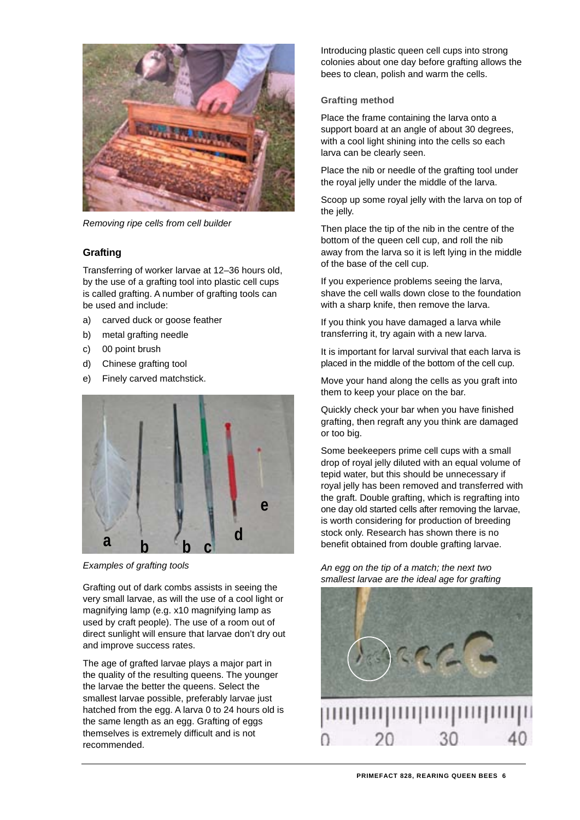

*Removing ripe cells from cell builder* 

# **Grafting**

Transferring of worker larvae at 12–36 hours old, by the use of a grafting tool into plastic cell cups is called grafting. A number of grafting tools can be used and include:

- a) carved duck or goose feather
- b) metal grafting needle
- c) 00 point brush
- d) Chinese grafting tool
- e) Finely carved matchstick.



*Examples of grafting tools* 

Grafting out of dark combs assists in seeing the very small larvae, as will the use of a cool light or magnifying lamp (e.g. x10 magnifying lamp as used by craft people). The use of a room out of direct sunlight will ensure that larvae don't dry out and improve success rates.

The age of grafted larvae plays a major part in the quality of the resulting queens. The younger the larvae the better the queens. Select the smallest larvae possible, preferably larvae just hatched from the egg. A larva 0 to 24 hours old is the same length as an egg. Grafting of eggs themselves is extremely difficult and is not recommended.

Introducing plastic queen cell cups into strong colonies about one day before grafting allows the bees to clean, polish and warm the cells.

### **Grafting method**

Place the frame containing the larva onto a support board at an angle of about 30 degrees, with a cool light shining into the cells so each larva can be clearly seen.

Place the nib or needle of the grafting tool under the royal jelly under the middle of the larva.

Scoop up some royal jelly with the larva on top of the jelly.

Then place the tip of the nib in the centre of the bottom of the queen cell cup, and roll the nib away from the larva so it is left lying in the middle of the base of the cell cup.

If you experience problems seeing the larva, shave the cell walls down close to the foundation with a sharp knife, then remove the larva.

If you think you have damaged a larva while transferring it, try again with a new larva.

It is important for larval survival that each larva is placed in the middle of the bottom of the cell cup.

Move your hand along the cells as you graft into them to keep your place on the bar.

Quickly check your bar when you have finished grafting, then regraft any you think are damaged or too big.

Some beekeepers prime cell cups with a small drop of royal jelly diluted with an equal volume of tepid water, but this should be unnecessary if royal jelly has been removed and transferred with the graft. Double grafting, which is regrafting into one day old started cells after removing the larvae, is worth considering for production of breeding stock only. Research has shown there is no benefit obtained from double grafting larvae.

*An egg on the tip of a match; the next two smallest larvae are the ideal age for grafting* 

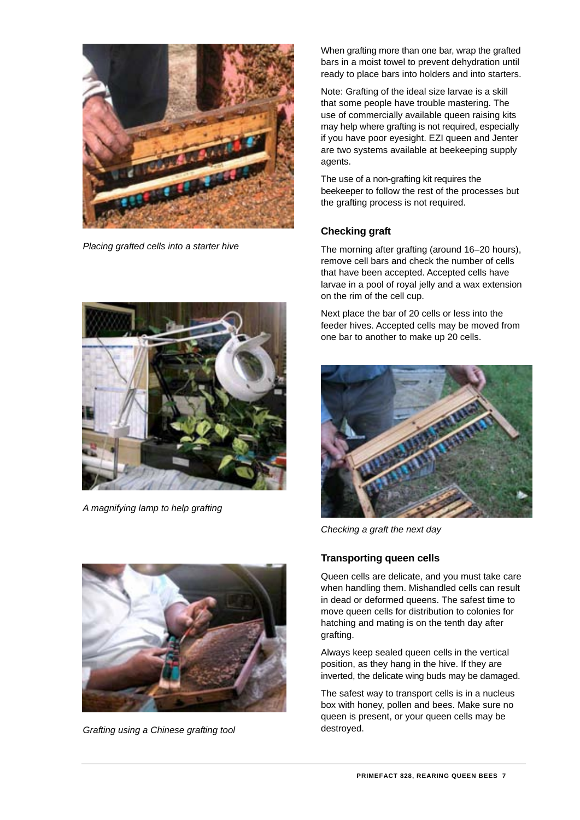

*Placing grafted cells into a starter hive* 



*A magnifying lamp to help grafting* 



*Grafting using a Chinese grafting tool* 

When grafting more than one bar, wrap the grafted bars in a moist towel to prevent dehydration until ready to place bars into holders and into starters.

Note: Grafting of the ideal size larvae is a skill that some people have trouble mastering. The use of commercially available queen raising kits may help where grafting is not required, especially if you have poor eyesight. EZI queen and Jenter are two systems available at beekeeping supply agents.

The use of a non-grafting kit requires the beekeeper to follow the rest of the processes but the grafting process is not required.

# **Checking graft**

The morning after grafting (around 16–20 hours), remove cell bars and check the number of cells that have been accepted. Accepted cells have larvae in a pool of royal jelly and a wax extension on the rim of the cell cup.

Next place the bar of 20 cells or less into the feeder hives. Accepted cells may be moved from one bar to another to make up 20 cells.



*Checking a graft the next day* 

# **Transporting queen cells**

Queen cells are delicate, and you must take care when handling them. Mishandled cells can result in dead or deformed queens. The safest time to move queen cells for distribution to colonies for hatching and mating is on the tenth day after grafting.

Always keep sealed queen cells in the vertical position, as they hang in the hive. If they are inverted, the delicate wing buds may be damaged.

The safest way to transport cells is in a nucleus box with honey, pollen and bees. Make sure no queen is present, or your queen cells may be destroyed.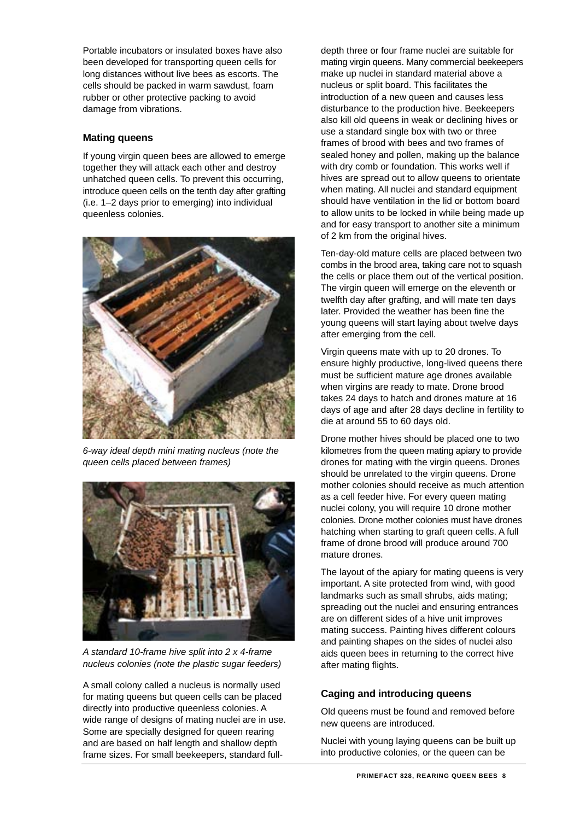Portable incubators or insulated boxes have also been developed for transporting queen cells for long distances without live bees as escorts. The cells should be packed in warm sawdust, foam rubber or other protective packing to avoid damage from vibrations.

# **Mating queens**

If young virgin queen bees are allowed to emerge together they will attack each other and destroy unhatched queen cells. To prevent this occurring, introduce queen cells on the tenth day after grafting (i.e. 1–2 days prior to emerging) into individual queenless colonies.



*6-way ideal depth mini mating nucleus (note the queen cells placed between frames)* 



*A standard 10-frame hive split into 2 x 4-frame nucleus colonies (note the plastic sugar feeders)* 

A small colony called a nucleus is normally used for mating queens but queen cells can be placed directly into productive queenless colonies. A wide range of designs of mating nuclei are in use. Some are specially designed for queen rearing and are based on half length and shallow depth frame sizes. For small beekeepers, standard fulldepth three or four frame nuclei are suitable for mating virgin queens. Many commercial beekeepers make up nuclei in standard material above a nucleus or split board. This facilitates the introduction of a new queen and causes less disturbance to the production hive. Beekeepers also kill old queens in weak or declining hives or use a standard single box with two or three frames of brood with bees and two frames of sealed honey and pollen, making up the balance with dry comb or foundation. This works well if hives are spread out to allow queens to orientate when mating. All nuclei and standard equipment should have ventilation in the lid or bottom board to allow units to be locked in while being made up and for easy transport to another site a minimum of 2 km from the original hives.

Ten-day-old mature cells are placed between two combs in the brood area, taking care not to squash the cells or place them out of the vertical position. The virgin queen will emerge on the eleventh or twelfth day after grafting, and will mate ten days later. Provided the weather has been fine the young queens will start laying about twelve days after emerging from the cell.

Virgin queens mate with up to 20 drones. To ensure highly productive, long-lived queens there must be sufficient mature age drones available when virgins are ready to mate. Drone brood takes 24 days to hatch and drones mature at 16 days of age and after 28 days decline in fertility to die at around 55 to 60 days old.

Drone mother hives should be placed one to two kilometres from the queen mating apiary to provide drones for mating with the virgin queens. Drones should be unrelated to the virgin queens. Drone mother colonies should receive as much attention as a cell feeder hive. For every queen mating nuclei colony, you will require 10 drone mother colonies. Drone mother colonies must have drones hatching when starting to graft queen cells. A full frame of drone brood will produce around 700 mature drones.

The layout of the apiary for mating queens is very important. A site protected from wind, with good landmarks such as small shrubs, aids mating; spreading out the nuclei and ensuring entrances are on different sides of a hive unit improves mating success. Painting hives different colours and painting shapes on the sides of nuclei also aids queen bees in returning to the correct hive after mating flights.

# **Caging and introducing queens**

Old queens must be found and removed before new queens are introduced.

Nuclei with young laying queens can be built up into productive colonies, or the queen can be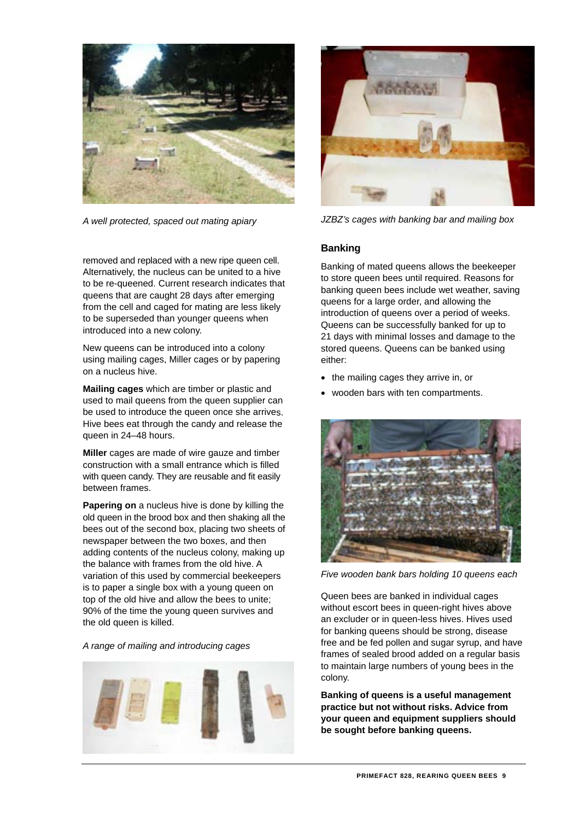

*A well protected, spaced out mating apiary* 



*JZBZ's cages with banking bar and mailing box* 

**Banking** 

# removed and replaced with a new ripe queen cell. Alternatively, the nucleus can be united to a hive to be re-queened. Current research indicates that queens that are caught 28 days after emerging from the cell and caged for mating are less likely to be superseded than younger queens when introduced into a new colony.

New queens can be introduced into a colony using mailing cages, Miller cages or by papering on a nucleus hive.

**Mailing cages** which are timber or plastic and used to mail queens from the queen supplier can be used to introduce the queen once she arrives. Hive bees eat through the candy and release the queen in 24–48 hours.

**Miller** cages are made of wire gauze and timber construction with a small entrance which is filled with queen candy. They are reusable and fit easily between frames.

**Papering on** a nucleus hive is done by killing the old queen in the brood box and then shaking all the bees out of the second box, placing two sheets of newspaper between the two boxes, and then adding contents of the nucleus colony, making up the balance with frames from the old hive. A variation of this used by commercial beekeepers is to paper a single box with a young queen on top of the old hive and allow the bees to unite; 90% of the time the young queen survives and the old queen is killed.

# *A range of mailing and introducing cages*



Banking of mated queens allows the beekeeper to store queen bees until required. Reasons for banking queen bees include wet weather, saving queens for a large order, and allowing the introduction of queens over a period of weeks. Queens can be successfully banked for up to 21 days with minimal losses and damage to the stored queens. Queens can be banked using either:

- the mailing cages they arrive in, or
- wooden bars with ten compartments.



*Five wooden bank bars holding 10 queens each* 

Queen bees are banked in individual cages without escort bees in queen-right hives above an excluder or in queen-less hives. Hives used for banking queens should be strong, disease free and be fed pollen and sugar syrup, and have frames of sealed brood added on a regular basis to maintain large numbers of young bees in the colony.

**Banking of queens is a useful management practice but not without risks. Advice from your queen and equipment suppliers should be sought before banking queens.**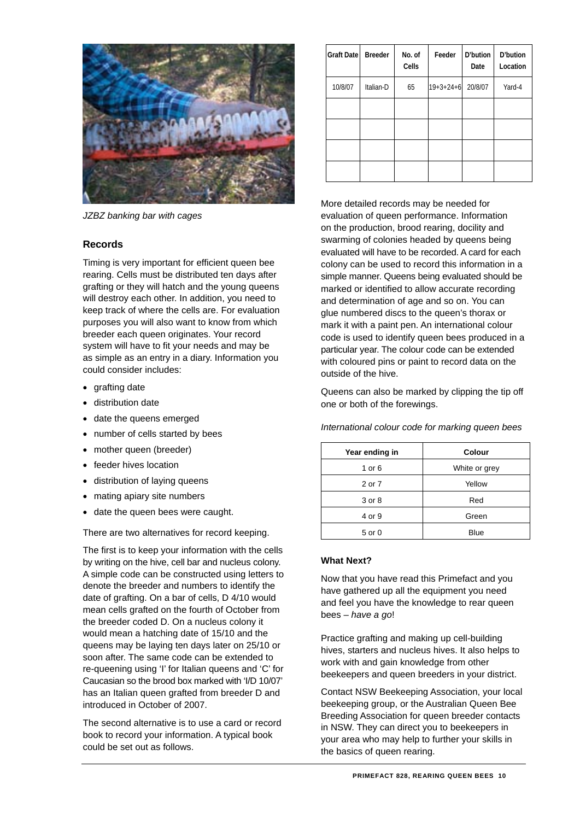

*JZBZ banking bar with cages* 

# **Records**

Timing is very important for efficient queen bee rearing. Cells must be distributed ten days after grafting or they will hatch and the young queens will destroy each other. In addition, you need to keep track of where the cells are. For evaluation purposes you will also want to know from which breeder each queen originates. Your record system will have to fit your needs and may be as simple as an entry in a diary. Information you could consider includes:

- grafting date
- distribution date
- date the queens emerged
- number of cells started by bees
- mother queen (breeder)
- feeder hives location
- distribution of laying queens
- mating apiary site numbers
- date the queen bees were caught.

There are two alternatives for record keeping.

The first is to keep your information with the cells by writing on the hive, cell bar and nucleus colony. A simple code can be constructed using letters to denote the breeder and numbers to identify the date of grafting. On a bar of cells, D 4/10 would mean cells grafted on the fourth of October from the breeder coded D. On a nucleus colony it would mean a hatching date of 15/10 and the queens may be laying ten days later on 25/10 or soon after. The same code can be extended to re-queening using 'I' for Italian queens and 'C' for Caucasian so the brood box marked with 'I/D 10/07' has an Italian queen grafted from breeder D and introduced in October of 2007.

The second alternative is to use a card or record book to record your information. A typical book could be set out as follows.

| <b>Graft Date</b> | <b>Breeder</b> | No. of<br>Cells | Feeder            | D'bution<br>Date | D'bution<br>Location |
|-------------------|----------------|-----------------|-------------------|------------------|----------------------|
| 10/8/07           | Italian-D      | 65              | $19 + 3 + 24 + 6$ | 20/8/07          | Yard-4               |
|                   |                |                 |                   |                  |                      |
|                   |                |                 |                   |                  |                      |
|                   |                |                 |                   |                  |                      |
|                   |                |                 |                   |                  |                      |

More detailed records may be needed for evaluation of queen performance. Information on the production, brood rearing, docility and swarming of colonies headed by queens being evaluated will have to be recorded. A card for each colony can be used to record this information in a simple manner. Queens being evaluated should be marked or identified to allow accurate recording and determination of age and so on. You can glue numbered discs to the queen's thorax or mark it with a paint pen. An international colour code is used to identify queen bees produced in a particular year. The colour code can be extended with coloured pins or paint to record data on the outside of the hive.

Queens can also be marked by clipping the tip off one or both of the forewings.

| Year ending in | Colour        |  |  |  |
|----------------|---------------|--|--|--|
| 1 or 6         | White or grey |  |  |  |
| 2 or 7         | Yellow        |  |  |  |
| 3 or 8         | Red           |  |  |  |
| 4 or 9         | Green         |  |  |  |
| 5 or 0         | Blue          |  |  |  |

*International colour code for marking queen bees* 

# **What Next?**

Now that you have read this Primefact and you have gathered up all the equipment you need and feel you have the knowledge to rear queen bees – *have a go*!

Practice grafting and making up cell-building hives, starters and nucleus hives. It also helps to work with and gain knowledge from other beekeepers and queen breeders in your district.

Contact NSW Beekeeping Association, your local beekeeping group, or the Australian Queen Bee Breeding Association for queen breeder contacts in NSW. They can direct you to beekeepers in your area who may help to further your skills in the basics of queen rearing.